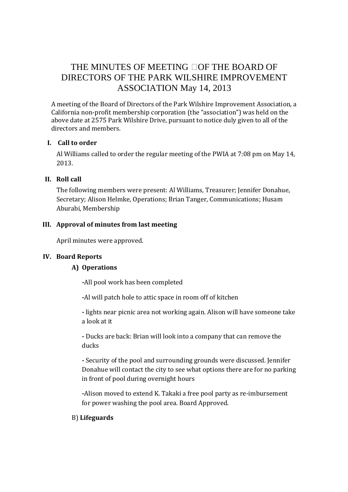# THE MINUTES OF MEETING OF THE BOARD OF DIRECTORS OF THE PARK WILSHIRE IMPROVEMENT ASSOCIATION May 14, 2013

A meeting of the Board of Directors of the Park Wilshire Improvement Association, a California non-profit membership corporation (the "association") was held on the above date at 2575 Park Wilshire Drive, pursuant to notice duly given to all of the directors and members.

#### **I. Call to order**

Al Williams called to order the regular meeting of the PWIA at 7:08 pm on May 14, 2013.

## **II. Roll call**

The following members were present: Al Williams, Treasurer; Jennifer Donahue, Secretary; Alison Helmke, Operations; Brian Tanger, Communications; Husam Aburabi, Membership

## **III. Approval of minutes from last meeting**

April minutes were approved.

## **IV. Board Reports**

## **A) Operations**

**-**All pool work has been completed

**-**Al will patch hole to attic space in room off of kitchen

**-** lights near picnic area not working again. Alison will have someone take a look at it

**-** Ducks are back: Brian will look into a company that can remove the ducks

**-** Security of the pool and surrounding grounds were discussed. Jennifer Donahue will contact the city to see what options there are for no parking in front of pool during overnight hours

**-**Alison moved to extend K. Takaki a free pool party as re-imbursement for power washing the pool area. Board Approved.

## B) **Lifeguards**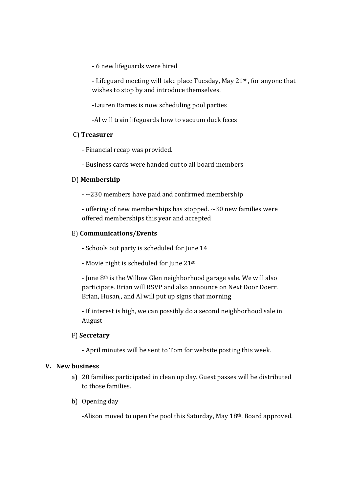- 6 new lifeguards were hired

- Lifeguard meeting will take place Tuesday, May 21<sup>st</sup>, for anyone that wishes to stop by and introduce themselves.

-Lauren Barnes is now scheduling pool parties

-Al will train lifeguards how to vacuum duck feces

#### C) **Treasurer**

- Financial recap was provided.

- Business cards were handed out to all board members

#### D) **Membership**

 $\sim$  230 members have paid and confirmed membership

 - offering of new memberships has stopped. ~30 new families were offered memberships this year and accepted

#### E) **Communications/Events**

- Schools out party is scheduled for June 14

- Movie night is scheduled for June 21st

 - June 8th is the Willow Glen neighborhood garage sale. We will also participate. Brian will RSVP and also announce on Next Door Doerr. Brian, Husan,, and Al will put up signs that morning

 - If interest is high, we can possibly do a second neighborhood sale in August

#### F) **Secretary**

- April minutes will be sent to Tom for website posting this week.

#### **V. New business**

- a) 20 families participated in clean up day. Guest passes will be distributed to those families.
- b) Opening day

-Alison moved to open the pool this Saturday, May 18th. Board approved.